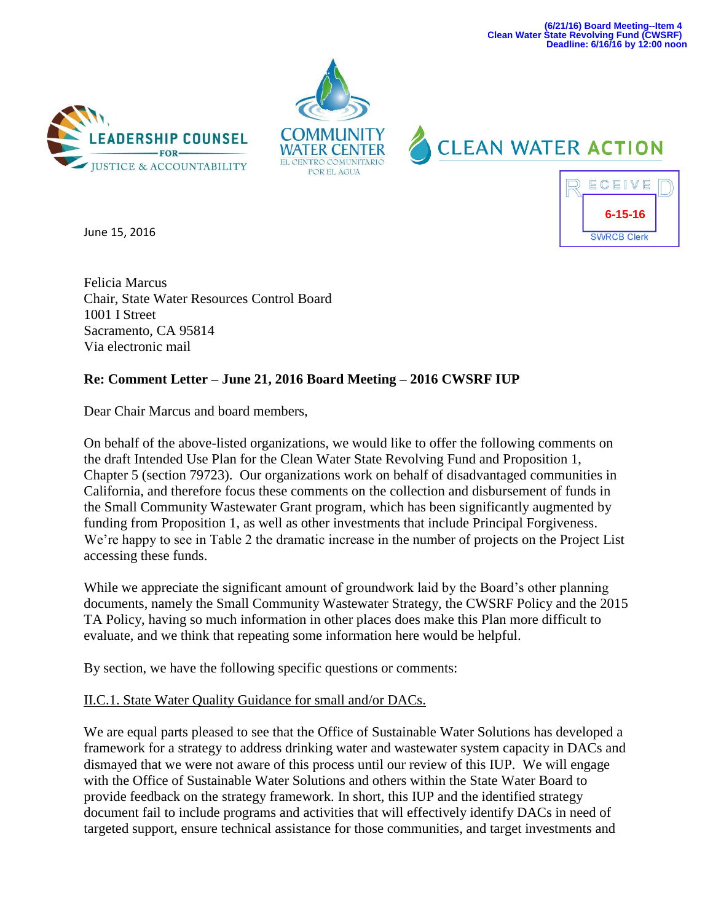**(6/21/16) Board Meeting--Item 4 Clean Water State Revolving Fund (CWSRF) Deadline: 6/16/16 by 12:00 noon**

**6-15-16**

**SWRCB Clerk** 

ECEIVE







June 15, 2016

Felicia Marcus Chair, State Water Resources Control Board 1001 I Street Sacramento, CA 95814 Via electronic mail

## **Re: Comment Letter – June 21, 2016 Board Meeting – 2016 CWSRF IUP**

Dear Chair Marcus and board members,

On behalf of the above-listed organizations, we would like to offer the following comments on the draft Intended Use Plan for the Clean Water State Revolving Fund and Proposition 1, Chapter 5 (section 79723). Our organizations work on behalf of disadvantaged communities in California, and therefore focus these comments on the collection and disbursement of funds in the Small Community Wastewater Grant program, which has been significantly augmented by funding from Proposition 1, as well as other investments that include Principal Forgiveness. We're happy to see in Table 2 the dramatic increase in the number of projects on the Project List accessing these funds.

While we appreciate the significant amount of groundwork laid by the Board's other planning documents, namely the Small Community Wastewater Strategy, the CWSRF Policy and the 2015 TA Policy, having so much information in other places does make this Plan more difficult to evaluate, and we think that repeating some information here would be helpful.

By section, we have the following specific questions or comments:

## II.C.1. State Water Quality Guidance for small and/or DACs.

We are equal parts pleased to see that the Office of Sustainable Water Solutions has developed a framework for a strategy to address drinking water and wastewater system capacity in DACs and dismayed that we were not aware of this process until our review of this IUP. We will engage with the Office of Sustainable Water Solutions and others within the State Water Board to provide feedback on the strategy framework. In short, this IUP and the identified strategy document fail to include programs and activities that will effectively identify DACs in need of targeted support, ensure technical assistance for those communities, and target investments and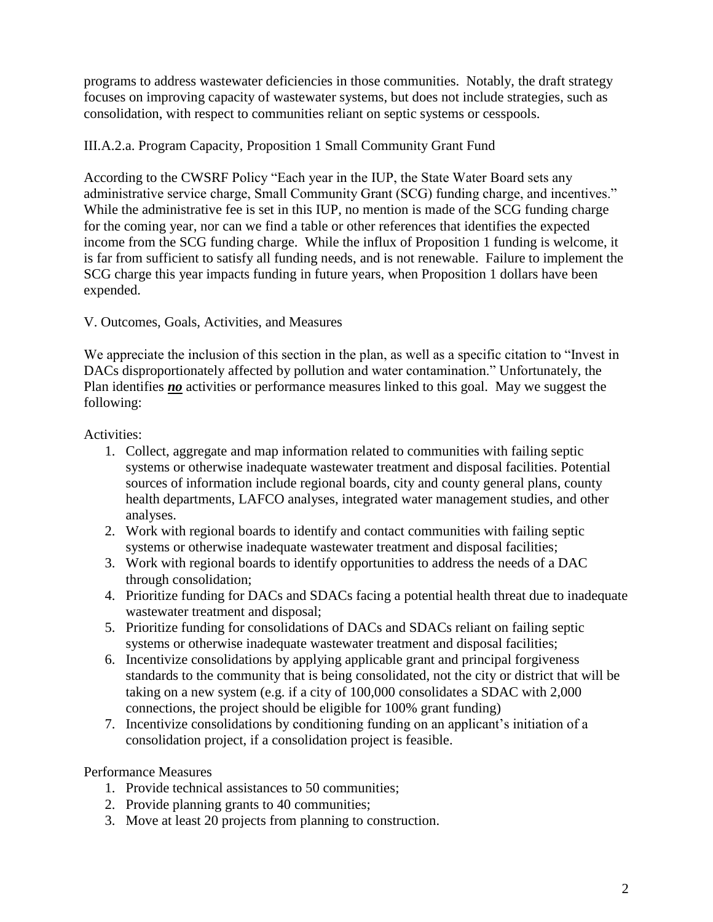programs to address wastewater deficiencies in those communities. Notably, the draft strategy focuses on improving capacity of wastewater systems, but does not include strategies, such as consolidation, with respect to communities reliant on septic systems or cesspools.

# III.A.2.a. Program Capacity, Proposition 1 Small Community Grant Fund

According to the CWSRF Policy "Each year in the IUP, the State Water Board sets any administrative service charge, Small Community Grant (SCG) funding charge, and incentives." While the administrative fee is set in this IUP, no mention is made of the SCG funding charge for the coming year, nor can we find a table or other references that identifies the expected income from the SCG funding charge. While the influx of Proposition 1 funding is welcome, it is far from sufficient to satisfy all funding needs, and is not renewable. Failure to implement the SCG charge this year impacts funding in future years, when Proposition 1 dollars have been expended.

## V. Outcomes, Goals, Activities, and Measures

We appreciate the inclusion of this section in the plan, as well as a specific citation to "Invest in DACs disproportionately affected by pollution and water contamination." Unfortunately, the Plan identifies **no** activities or performance measures linked to this goal. May we suggest the following:

Activities:

- 1. Collect, aggregate and map information related to communities with failing septic systems or otherwise inadequate wastewater treatment and disposal facilities. Potential sources of information include regional boards, city and county general plans, county health departments, LAFCO analyses, integrated water management studies, and other analyses.
- 2. Work with regional boards to identify and contact communities with failing septic systems or otherwise inadequate wastewater treatment and disposal facilities;
- 3. Work with regional boards to identify opportunities to address the needs of a DAC through consolidation;
- 4. Prioritize funding for DACs and SDACs facing a potential health threat due to inadequate wastewater treatment and disposal;
- 5. Prioritize funding for consolidations of DACs and SDACs reliant on failing septic systems or otherwise inadequate wastewater treatment and disposal facilities;
- 6. Incentivize consolidations by applying applicable grant and principal forgiveness standards to the community that is being consolidated, not the city or district that will be taking on a new system (e.g. if a city of 100,000 consolidates a SDAC with 2,000 connections, the project should be eligible for 100% grant funding)
- 7. Incentivize consolidations by conditioning funding on an applicant's initiation of a consolidation project, if a consolidation project is feasible.

Performance Measures

- 1. Provide technical assistances to 50 communities;
- 2. Provide planning grants to 40 communities;
- 3. Move at least 20 projects from planning to construction.